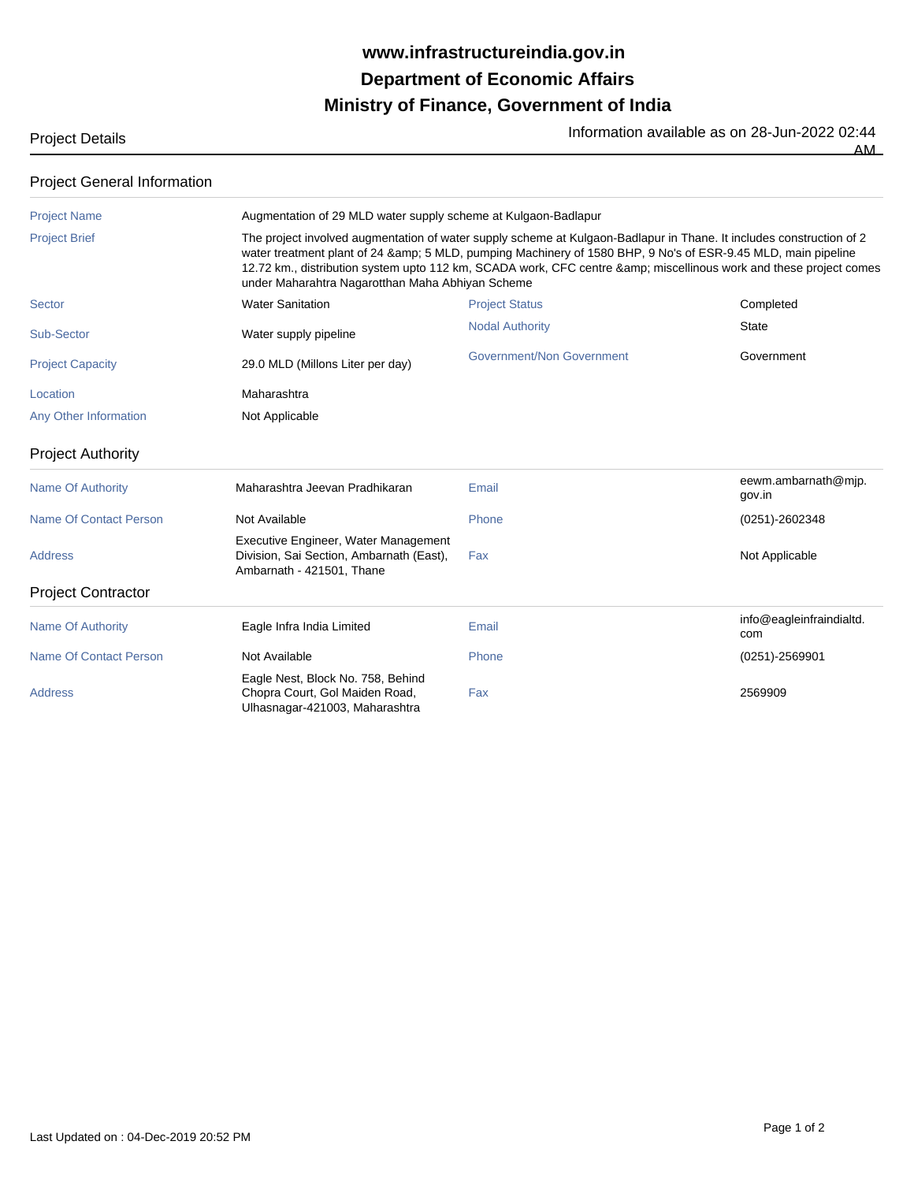## **Ministry of Finance, Government of India Department of Economic Affairs www.infrastructureindia.gov.in**

AM

| <b>Project Details</b> | Information available as on 28-Jun-2022 02:44 |
|------------------------|-----------------------------------------------|
|                        |                                               |

| <b>Project General Information</b> |                                                                                                                                                                                                                                                                                                                                                                                                                                                                                |                           |                                 |  |  |
|------------------------------------|--------------------------------------------------------------------------------------------------------------------------------------------------------------------------------------------------------------------------------------------------------------------------------------------------------------------------------------------------------------------------------------------------------------------------------------------------------------------------------|---------------------------|---------------------------------|--|--|
| <b>Project Name</b>                | Augmentation of 29 MLD water supply scheme at Kulgaon-Badlapur<br>The project involved augmentation of water supply scheme at Kulgaon-Badlapur in Thane. It includes construction of 2<br>water treatment plant of 24 & amp; 5 MLD, pumping Machinery of 1580 BHP, 9 No's of ESR-9.45 MLD, main pipeline<br>12.72 km., distribution system upto 112 km, SCADA work, CFC centre & miscellinous work and these project comes<br>under Maharahtra Nagarotthan Maha Abhiyan Scheme |                           |                                 |  |  |
| <b>Project Brief</b>               |                                                                                                                                                                                                                                                                                                                                                                                                                                                                                |                           |                                 |  |  |
| Sector                             | <b>Water Sanitation</b>                                                                                                                                                                                                                                                                                                                                                                                                                                                        | <b>Project Status</b>     | Completed                       |  |  |
| Sub-Sector                         | Water supply pipeline                                                                                                                                                                                                                                                                                                                                                                                                                                                          | <b>Nodal Authority</b>    | <b>State</b>                    |  |  |
| <b>Project Capacity</b>            | 29.0 MLD (Millons Liter per day)                                                                                                                                                                                                                                                                                                                                                                                                                                               | Government/Non Government | Government                      |  |  |
| Location                           | Maharashtra                                                                                                                                                                                                                                                                                                                                                                                                                                                                    |                           |                                 |  |  |
| Any Other Information              | Not Applicable                                                                                                                                                                                                                                                                                                                                                                                                                                                                 |                           |                                 |  |  |
| <b>Project Authority</b>           |                                                                                                                                                                                                                                                                                                                                                                                                                                                                                |                           |                                 |  |  |
| <b>Name Of Authority</b>           | Maharashtra Jeevan Pradhikaran                                                                                                                                                                                                                                                                                                                                                                                                                                                 | Email                     | eewm.ambarnath@mjp.<br>gov.in   |  |  |
| <b>Name Of Contact Person</b>      | Not Available                                                                                                                                                                                                                                                                                                                                                                                                                                                                  | Phone                     | (0251)-2602348                  |  |  |
| <b>Address</b>                     | Executive Engineer, Water Management<br>Division, Sai Section, Ambarnath (East),<br>Ambarnath - 421501, Thane                                                                                                                                                                                                                                                                                                                                                                  | Fax                       | Not Applicable                  |  |  |
| <b>Project Contractor</b>          |                                                                                                                                                                                                                                                                                                                                                                                                                                                                                |                           |                                 |  |  |
| <b>Name Of Authority</b>           | Eagle Infra India Limited                                                                                                                                                                                                                                                                                                                                                                                                                                                      | Email                     | info@eagleinfraindialtd.<br>com |  |  |
| <b>Name Of Contact Person</b>      | Not Available                                                                                                                                                                                                                                                                                                                                                                                                                                                                  | Phone                     | $(0251) - 2569901$              |  |  |
| <b>Address</b>                     | Eagle Nest, Block No. 758, Behind<br>Chopra Court, Gol Maiden Road,<br>Ulhasnagar-421003, Maharashtra                                                                                                                                                                                                                                                                                                                                                                          | Fax                       | 2569909                         |  |  |